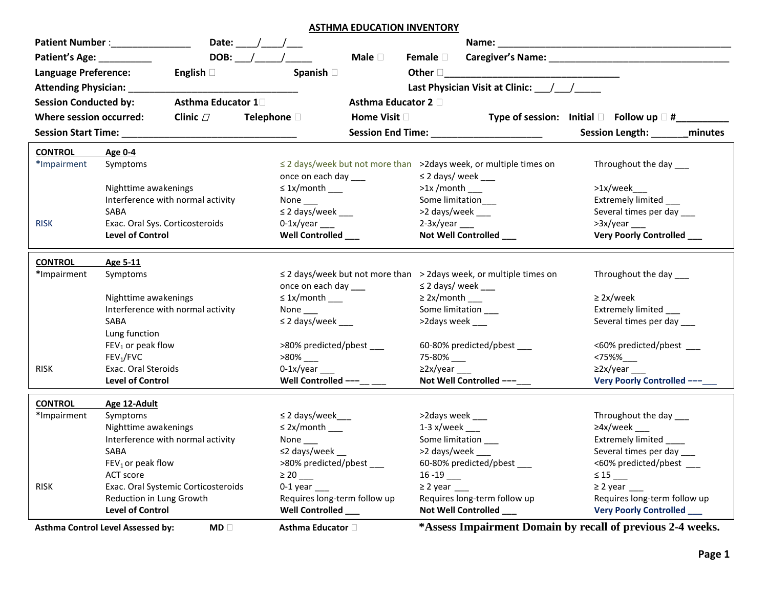**ASTHMA EDUCATION INVENTORY**

|                              | Date: ____/ ____/ ___<br>Patient Number :________________                                                                                |                                                |                                                                         |                                                           |  |
|------------------------------|------------------------------------------------------------------------------------------------------------------------------------------|------------------------------------------------|-------------------------------------------------------------------------|-----------------------------------------------------------|--|
| Patient's Age: __________    | $DOB:$ / /                                                                                                                               | Male $\square$                                 | Female <b>D</b>                                                         |                                                           |  |
| <b>Language Preference:</b>  | English $\square$                                                                                                                        | Spanish D                                      | Other <u>December 2008</u>                                              |                                                           |  |
|                              | <b>Attending Physician:</b> ______                                                                                                       |                                                | Last Physician Visit at Clinic: / /                                     |                                                           |  |
|                              |                                                                                                                                          |                                                |                                                                         |                                                           |  |
| <b>Session Conducted by:</b> | Asthma Educator 1 <sup>1</sup>                                                                                                           | <b>Asthma Educator 2</b> □                     |                                                                         |                                                           |  |
| Where session occurred:      | Clinic $\varPi$                                                                                                                          | Telephone <sup>[]</sup><br>Home Visit <b>D</b> |                                                                         | Type of session: Initial $\Box$ Follow up $\Box$ #_______ |  |
| <b>Session Start Time:</b>   |                                                                                                                                          |                                                |                                                                         | <b>Session Length:</b><br>minutes                         |  |
| <b>CONTROL</b>               | Age 0-4                                                                                                                                  |                                                |                                                                         |                                                           |  |
| *Impairment                  | Symptoms                                                                                                                                 |                                                | ≤ 2 days/week but not more than >2days week, or multiple times on       | Throughout the day ___                                    |  |
|                              |                                                                                                                                          | once on each day ___                           | $\leq$ 2 days/ week ___                                                 |                                                           |  |
|                              | Nighttime awakenings                                                                                                                     | $\leq$ 1x/month ____                           | $>1x$ /month ___                                                        | >1x/week___                                               |  |
|                              | Interference with normal activity                                                                                                        | None $\_\_$                                    | Some limitation                                                         | Extremely limited ___                                     |  |
|                              | SABA                                                                                                                                     | $\leq$ 2 days/week ___                         | >2 days/week ___                                                        | Several times per day ___                                 |  |
| <b>RISK</b>                  | Exac. Oral Sys. Corticosteroids                                                                                                          | $0-1x/year$                                    | $2-3x/year$                                                             | >3x/year                                                  |  |
|                              | <b>Level of Control</b>                                                                                                                  | Well Controlled                                | Not Well Controlled ___                                                 | Very Poorly Controlled ___                                |  |
| <b>CONTROL</b>               | Age 5-11                                                                                                                                 |                                                |                                                                         |                                                           |  |
| *Impairment                  | Symptoms                                                                                                                                 |                                                | $\leq$ 2 days/week but not more than > 2days week, or multiple times on | Throughout the day ___                                    |  |
|                              |                                                                                                                                          | once on each day ___                           | $\leq$ 2 days/ week ____                                                |                                                           |  |
|                              | Nighttime awakenings                                                                                                                     | $\leq$ 1x/month ____                           | $\geq$ 2x/month ____                                                    | $\geq$ 2x/week                                            |  |
|                              | Interference with normal activity                                                                                                        | None $\_\_$                                    | Some limitation ____                                                    | Extremely limited ____                                    |  |
|                              | SABA                                                                                                                                     | $\leq$ 2 days/week ___                         | >2days week ___                                                         | Several times per day ___                                 |  |
|                              | Lung function                                                                                                                            |                                                |                                                                         |                                                           |  |
|                              | $FEV1$ or peak flow                                                                                                                      | >80% predicted/pbest ____                      | 60-80% predicted/pbest ____                                             | <60% predicted/pbest ____                                 |  |
|                              | FEV <sub>1</sub> /FVC                                                                                                                    |                                                | 75-80% ___                                                              | <75%%                                                     |  |
| <b>RISK</b>                  | Exac. Oral Steroids                                                                                                                      | $0-1x/year$                                    | $\geq$ 2x/year ___                                                      | $\geq$ 2x/year ___                                        |  |
|                              | <b>Level of Control</b>                                                                                                                  | Well Controlled ---__ ___                      | Not Well Controlled ---                                                 | Very Poorly Controlled ---                                |  |
| <b>CONTROL</b>               | Age 12-Adult                                                                                                                             |                                                |                                                                         |                                                           |  |
| *Impairment                  | Symptoms                                                                                                                                 | $\leq$ 2 days/week $\_\_$                      | >2days week ___                                                         | Throughout the day ___                                    |  |
|                              | Nighttime awakenings                                                                                                                     | $\leq$ 2x/month ____                           | $1-3$ x/week ___                                                        | $\geq 4x$ /week ___                                       |  |
|                              | Interference with normal activity                                                                                                        | None                                           | Some limitation ____                                                    | Extremely limited _____                                   |  |
|                              | SABA                                                                                                                                     | $\leq$ 2 days/week __                          | >2 days/week ___                                                        | Several times per day ____                                |  |
|                              | $FEV1$ or peak flow                                                                                                                      | >80% predicted/pbest ___                       | 60-80% predicted/pbest ___                                              | <60% predicted/pbest ____                                 |  |
|                              | ACT score                                                                                                                                |                                                |                                                                         | $\leq$ 15 __                                              |  |
| <b>RISK</b>                  | Exac. Oral Systemic Corticosteroids                                                                                                      | $0-1$ year $\_\_$                              | $\geq$ 2 year ____                                                      | $\geq$ 2 year ___                                         |  |
|                              | Reduction in Lung Growth                                                                                                                 | Requires long-term follow up                   | Requires long-term follow up                                            | Requires long-term follow up                              |  |
|                              | <b>Level of Control</b>                                                                                                                  | Well Controlled ___                            | Not Well Controlled ___                                                 | <b>Very Poorly Controlled</b> ___                         |  |
|                              | *Assess Impairment Domain by recall of previous 2-4 weeks.<br><b>Asthma Control Level Assessed by:</b><br>$MD \Box$<br>Asthma Educator □ |                                                |                                                                         |                                                           |  |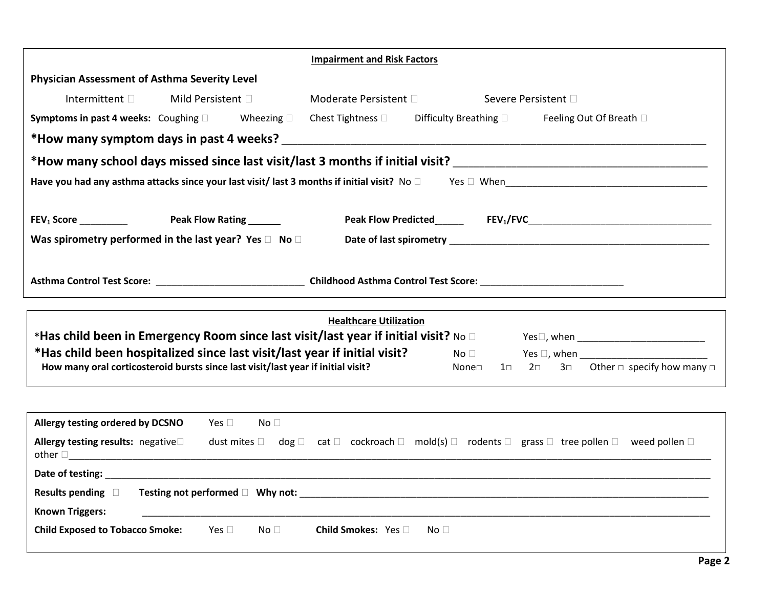|                                                                                                                                                               |                   |                 | <b>Impairment and Risk Factors</b> |              |                               |                          |                                                                                                                                           |
|---------------------------------------------------------------------------------------------------------------------------------------------------------------|-------------------|-----------------|------------------------------------|--------------|-------------------------------|--------------------------|-------------------------------------------------------------------------------------------------------------------------------------------|
| <b>Physician Assessment of Asthma Severity Level</b>                                                                                                          |                   |                 |                                    |              |                               |                          |                                                                                                                                           |
| Intermittent D                                                                                                                                                | Mild Persistent D |                 | Moderate Persistent D              |              |                               | Severe Persistent □      |                                                                                                                                           |
| <b>Symptoms in past 4 weeks:</b> Coughing $\square$ Wheezing $\square$                                                                                        |                   |                 | Chest Tightness $\square$          |              | Difficulty Breathing D        |                          | Feeling Out Of Breath □                                                                                                                   |
| *How many symptom days in past 4 weeks?                                                                                                                       |                   |                 |                                    |              |                               |                          |                                                                                                                                           |
| *How many school days missed since last visit/last 3 months if initial visit? ________________________________                                                |                   |                 |                                    |              |                               |                          |                                                                                                                                           |
|                                                                                                                                                               |                   |                 |                                    |              |                               |                          |                                                                                                                                           |
|                                                                                                                                                               |                   |                 |                                    |              |                               |                          |                                                                                                                                           |
| Was spirometry performed in the last year? Yes $\square$ No $\square$                                                                                         |                   |                 |                                    |              |                               |                          |                                                                                                                                           |
|                                                                                                                                                               |                   |                 |                                    |              |                               |                          |                                                                                                                                           |
|                                                                                                                                                               |                   |                 |                                    |              |                               |                          |                                                                                                                                           |
|                                                                                                                                                               |                   |                 |                                    |              |                               |                          |                                                                                                                                           |
|                                                                                                                                                               |                   |                 |                                    |              |                               |                          |                                                                                                                                           |
|                                                                                                                                                               |                   |                 | <b>Healthcare Utilization</b>      |              |                               |                          |                                                                                                                                           |
| *Has child been in Emergency Room since last visit/last year if initial visit? No $\square$                                                                   |                   |                 |                                    |              |                               |                          | Yes□, when _________________________________                                                                                              |
| *Has child been hospitalized since last visit/last year if initial visit?<br>How many oral corticosteroid bursts since last visit/last year if initial visit? |                   |                 |                                    |              | $\mathsf{No} \ \Box$<br>None⊡ | $2\square$<br>$1\square$ | 3 $\Box$ Other $\Box$ specify how many $\Box$                                                                                             |
|                                                                                                                                                               |                   |                 |                                    |              |                               |                          |                                                                                                                                           |
|                                                                                                                                                               |                   |                 |                                    |              |                               |                          |                                                                                                                                           |
| Allergy testing ordered by DCSNO                                                                                                                              | Yes $\Box$        | No <sub>1</sub> |                                    |              |                               |                          |                                                                                                                                           |
| Allergy testing results: negative<br>other $\Box$                                                                                                             |                   |                 |                                    |              |                               |                          | dust mites $\Box$ dog $\Box$ cat $\Box$ cockroach $\Box$ mold(s) $\Box$ rodents $\Box$ grass $\Box$ tree pollen $\Box$ weed pollen $\Box$ |
|                                                                                                                                                               |                   |                 |                                    |              |                               |                          |                                                                                                                                           |
|                                                                                                                                                               |                   |                 |                                    |              |                               |                          |                                                                                                                                           |
| <b>Known Triggers:</b>                                                                                                                                        |                   |                 |                                    |              |                               |                          |                                                                                                                                           |
| Child Exposed to Tobacco Smoke: Yes □ No □                                                                                                                    |                   |                 | Child Smokes: Yes                  | No $\square$ |                               |                          |                                                                                                                                           |
|                                                                                                                                                               |                   |                 |                                    |              |                               |                          |                                                                                                                                           |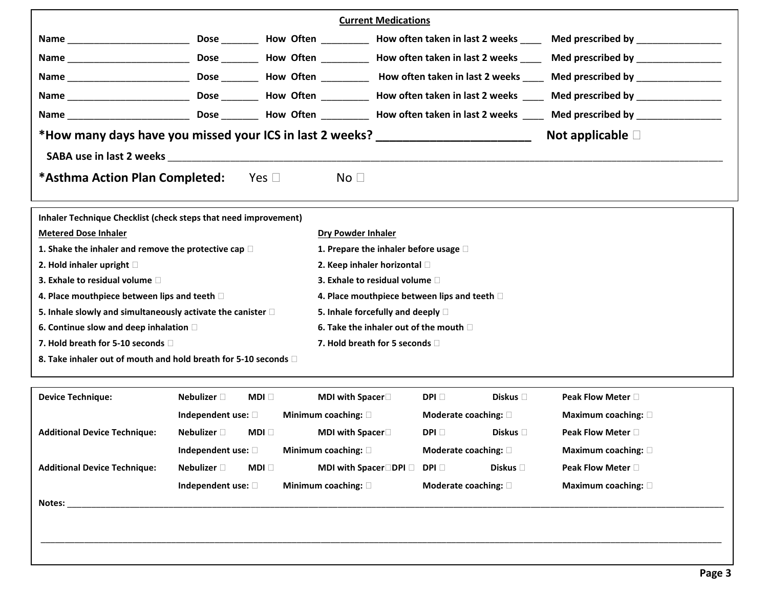|                                                                                                                                                                                                                                |                            |                                   | <b>Current Medications</b>                    |                  |                             |
|--------------------------------------------------------------------------------------------------------------------------------------------------------------------------------------------------------------------------------|----------------------------|-----------------------------------|-----------------------------------------------|------------------|-----------------------------|
|                                                                                                                                                                                                                                |                            |                                   |                                               |                  |                             |
|                                                                                                                                                                                                                                |                            |                                   |                                               |                  |                             |
|                                                                                                                                                                                                                                |                            |                                   |                                               |                  |                             |
|                                                                                                                                                                                                                                |                            |                                   |                                               |                  |                             |
|                                                                                                                                                                                                                                |                            |                                   |                                               |                  |                             |
| *How many days have you missed your ICS in last 2 weeks?                                                                                                                                                                       |                            |                                   |                                               |                  | Not applicable $\square$    |
| SABA use in last 2 weeks and the state of the state of the state of the state of the state of the state of the state of the state of the state of the state of the state of the state of the state of the state of the state o |                            |                                   |                                               |                  |                             |
| *Asthma Action Plan Completed:                                                                                                                                                                                                 |                            | Yes $\Box$<br>No <sub>1</sub>     |                                               |                  |                             |
| Inhaler Technique Checklist (check steps that need improvement)                                                                                                                                                                |                            |                                   |                                               |                  |                             |
| <b>Metered Dose Inhaler</b>                                                                                                                                                                                                    |                            | <b>Dry Powder Inhaler</b>         |                                               |                  |                             |
| 1. Shake the inhaler and remove the protective cap $\square$                                                                                                                                                                   |                            |                                   | 1. Prepare the inhaler before usage $\square$ |                  |                             |
| 2. Hold inhaler upright $\square$                                                                                                                                                                                              |                            |                                   | 2. Keep inhaler horizontal                    |                  |                             |
| 3. Exhale to residual volume $\Box$                                                                                                                                                                                            |                            |                                   | 3. Exhale to residual volume $\Box$           |                  |                             |
| 4. Place mouthpiece between lips and teeth $\Box$                                                                                                                                                                              |                            |                                   | 4. Place mouthpiece between lips and teeth D  |                  |                             |
| 5. Inhale slowly and simultaneously activate the canister $\square$                                                                                                                                                            |                            |                                   | 5. Inhale forcefully and deeply $\square$     |                  |                             |
| 6. Continue slow and deep inhalation $\square$                                                                                                                                                                                 |                            |                                   | 6. Take the inhaler out of the mouth $\Box$   |                  |                             |
| 7. Hold breath for 5-10 seconds $\Box$                                                                                                                                                                                         |                            |                                   | 7. Hold breath for 5 seconds $\Box$           |                  |                             |
| 8. Take inhaler out of mouth and hold breath for 5-10 seconds a                                                                                                                                                                |                            |                                   |                                               |                  |                             |
| <b>Device Technique:</b>                                                                                                                                                                                                       | Nebulizer $\square$        | MDI □<br><b>MDI with Spacer</b> □ | DPI O                                         | Diskus $\square$ | Peak Flow Meter $\square$   |
|                                                                                                                                                                                                                                | Independent use: 0         | Minimum coaching: 0               | Moderate coaching: $\square$                  |                  | Maximum coaching: $\square$ |
| <b>Additional Device Technique:</b>                                                                                                                                                                                            | Nebulizer $\square$        | MDI □<br><b>MDI with Spacer</b> □ | DPI <b>D</b>                                  | Diskus $\Box$    | Peak Flow Meter $\square$   |
|                                                                                                                                                                                                                                | Independent use: $\square$ | Minimum coaching: $\square$       | Moderate coaching: $\square$                  |                  | Maximum coaching: $\square$ |

|                                     | $\frac{1}{2}$              |              | $\cdots$                     | 1100                         |                 | $\ldots$                    |
|-------------------------------------|----------------------------|--------------|------------------------------|------------------------------|-----------------|-----------------------------|
| <b>Additional Device Technique:</b> | Nebulizer $\sqsubset$      | MDI <b>F</b> | <b>MDI with Spacer</b> □DPI□ | $DPI \Box$                   | Diskus <b>D</b> | <b>Peak Flow Meter</b>      |
|                                     | Independent use: $\square$ |              | Minimum coaching: $\square$  | Moderate coaching: $\square$ |                 | Maximum coaching: $\square$ |

\_\_\_\_\_\_\_\_\_\_\_\_\_\_\_\_\_\_\_\_\_\_\_\_\_\_\_\_\_\_\_\_\_\_\_\_\_\_\_\_\_\_\_\_\_\_\_\_\_\_\_\_\_\_\_\_\_\_\_\_\_\_\_\_\_\_\_\_\_\_\_\_\_\_\_\_\_\_\_\_\_\_\_\_\_\_\_\_\_\_\_\_\_\_\_\_\_\_\_\_\_\_\_\_\_\_\_\_\_\_\_\_\_\_\_\_\_\_\_\_\_\_\_\_\_\_\_\_\_\_\_\_\_\_\_\_\_\_\_\_\_

**Notes:** \_\_\_\_\_\_\_\_\_\_\_\_\_\_\_\_\_\_\_\_\_\_\_\_\_\_\_\_\_\_\_\_\_\_\_\_\_\_\_\_\_\_\_\_\_\_\_\_\_\_\_\_\_\_\_\_\_\_\_\_\_\_\_\_\_\_\_\_\_\_\_\_\_\_\_\_\_\_\_\_\_\_\_\_\_\_\_\_\_\_\_\_\_\_\_\_\_\_\_\_\_\_\_\_\_\_\_\_\_\_\_\_\_\_\_\_\_\_\_\_\_\_\_\_\_\_\_\_\_\_\_\_\_\_\_\_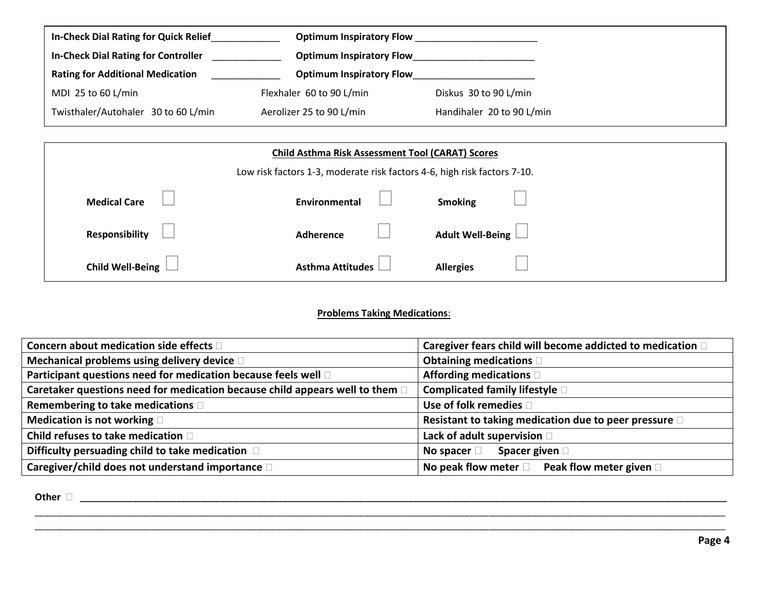| <b>In-Check Dial Rating for Quick Relief</b> | <b>Optimum Inspiratory Flow</b> |                           |
|----------------------------------------------|---------------------------------|---------------------------|
| <b>In-Check Dial Rating for Controller</b>   | <b>Optimum Inspiratory Flow</b> |                           |
| <b>Rating for Additional Medication</b>      | <b>Optimum Inspiratory Flow</b> |                           |
| MDI 25 to 60 L/min                           | Flexhaler 60 to 90 L/min        | Diskus 30 to 90 L/min     |
| Twisthaler/Autohaler 30 to 60 L/min          | Aerolizer 25 to 90 L/min        | Handihaler 20 to 90 L/min |

| <b>Child Asthma Risk Assessment Tool (CARAT) Scores</b> |                                                                          |                    |  |  |  |  |  |
|---------------------------------------------------------|--------------------------------------------------------------------------|--------------------|--|--|--|--|--|
|                                                         | Low risk factors 1-3, moderate risk factors 4-6, high risk factors 7-10. |                    |  |  |  |  |  |
| <b>Medical Care</b>                                     | <b>Smoking</b><br>Environmental                                          |                    |  |  |  |  |  |
| <b>Responsibility</b>                                   | Adherence                                                                | Adult Well-Being L |  |  |  |  |  |
| <b>Child Well-Being</b>                                 | <b>Asthma Attitudes</b><br><b>Allergies</b>                              |                    |  |  |  |  |  |

## **Problems Taking Medications**:

| Concern about medication side effects $\square$                              | Caregiver fears child will become addicted to medication $\square$ |
|------------------------------------------------------------------------------|--------------------------------------------------------------------|
| Mechanical problems using delivery device D                                  | Obtaining medications                                              |
| Participant questions need for medication because feels well D               | Affording medications D                                            |
| Caretaker questions need for medication because child appears well to them [ | Complicated family lifestyle D                                     |
| Remembering to take medications D                                            | Use of folk remedies [                                             |
| Medication is not working                                                    | Resistant to taking medication due to peer pressure D              |
| Child refuses to take medication D                                           | Lack of adult supervision D                                        |
| Difficulty persuading child to take medication D                             | <b>Spacer given</b> □<br>No spacer $\square$                       |
| Caregiver/child does not understand importance D                             | No peak flow meter $\square$ Peak flow meter given $\square$       |

\_\_\_\_\_\_\_\_\_\_\_\_\_\_\_\_\_\_\_\_\_\_\_\_\_\_\_\_\_\_\_\_\_\_\_\_\_\_\_\_\_\_\_\_\_\_\_\_\_\_\_\_\_\_\_\_\_\_\_\_\_\_\_\_\_\_\_\_\_\_\_\_\_\_\_\_\_\_\_\_\_\_\_\_\_\_\_\_\_\_\_\_\_\_\_\_\_\_\_\_\_\_\_\_\_\_\_\_\_\_\_\_\_\_\_\_\_\_\_\_\_\_\_\_\_\_\_\_\_\_\_\_\_\_\_\_\_\_\_\_\_\_\_ \_\_\_\_\_\_\_\_\_\_\_\_\_\_\_\_\_\_\_\_\_\_\_\_\_\_\_\_\_\_\_\_\_\_\_\_\_\_\_\_\_\_\_\_\_\_\_\_\_\_\_\_\_\_\_\_\_\_\_\_\_\_\_\_\_\_\_\_\_\_\_\_\_\_\_\_\_\_\_\_\_\_\_\_\_\_\_\_\_\_\_\_\_\_\_\_\_\_\_\_\_\_\_\_\_\_\_\_\_\_\_\_\_\_\_\_\_\_\_\_\_\_\_\_\_\_\_\_\_\_\_\_\_\_\_\_\_\_\_\_\_\_\_

**Other \_\_\_\_\_\_\_\_\_\_\_\_\_\_\_\_\_\_\_\_\_\_\_\_\_\_\_\_\_\_\_\_\_\_\_\_\_\_\_\_\_\_\_\_\_\_\_\_\_\_\_\_\_\_\_\_\_\_\_\_\_\_\_\_\_\_\_\_\_\_\_\_\_\_\_\_\_\_\_\_\_\_\_\_\_\_\_\_\_\_\_\_\_\_\_\_\_\_\_\_\_\_\_\_\_\_\_\_\_\_\_\_\_\_\_\_\_\_\_\_\_\_\_\_\_\_\_\_\_\_\_\_\_\_**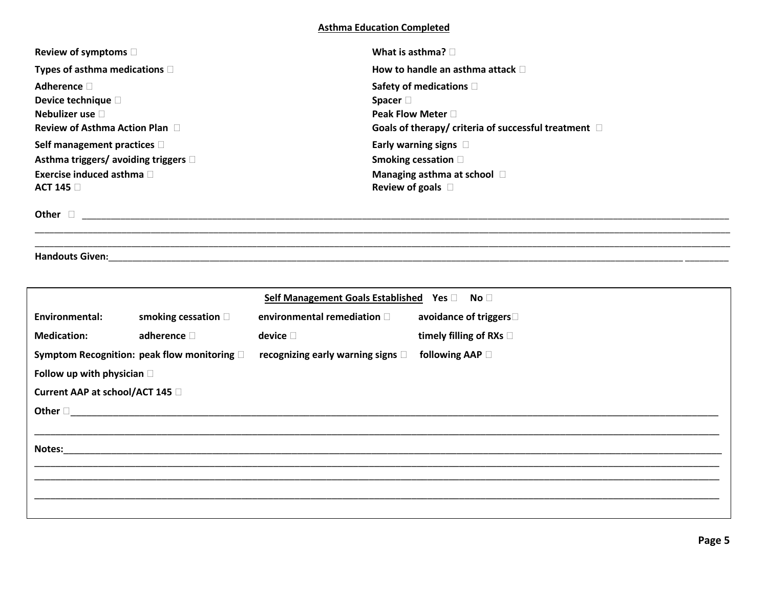## **Asthma Education Completed**

\_\_\_\_\_\_\_\_\_\_\_\_\_\_\_\_\_\_\_\_\_\_\_\_\_\_\_\_\_\_\_\_\_\_\_\_\_\_\_\_\_\_\_\_\_\_\_\_\_\_\_\_\_\_\_\_\_\_\_\_\_\_\_\_\_\_\_\_\_\_\_\_\_\_\_\_\_\_\_\_\_\_\_\_\_\_\_\_\_\_\_\_\_\_\_\_\_\_\_\_\_\_\_\_\_\_\_\_\_\_\_\_\_\_\_\_\_\_\_\_\_\_\_\_\_\_\_\_\_\_\_\_\_\_\_\_\_\_\_\_\_\_\_\_

| Review of symptoms $\square$          | What is asthma? $\Box$                                    |
|---------------------------------------|-----------------------------------------------------------|
| Types of asthma medications $\square$ | How to handle an asthma attack $\Box$                     |
| Adherence $\Box$                      | Safety of medications D                                   |
| Device technique D                    | Spacer $\square$                                          |
| Nebulizer use $\Box$                  | Peak Flow Meter $\Box$                                    |
| Review of Asthma Action Plan $\Box$   | Goals of therapy/ criteria of successful treatment $\Box$ |
| Self management practices $\square$   | Early warning signs $\square$                             |
| Asthma triggers/ avoiding triggers □  | Smoking cessation D                                       |
| Exercise induced asthma $\Box$        | Managing asthma at school D                               |
| ACT 145 $\Box$                        | Review of goals $\square$                                 |
|                                       |                                                           |

\_\_\_\_\_\_\_\_\_\_\_\_\_\_\_\_\_\_\_\_\_\_\_\_\_\_\_\_\_\_\_\_\_\_\_\_\_\_\_\_\_\_\_\_\_\_\_\_\_\_\_\_\_\_\_\_\_\_\_\_\_\_\_\_\_\_\_\_\_\_\_\_\_\_\_\_\_\_\_\_\_\_\_\_\_\_\_\_\_\_\_\_\_\_\_\_\_\_\_\_\_\_\_\_\_\_\_\_\_\_\_\_\_\_\_\_\_\_\_\_\_\_\_\_\_\_\_\_\_\_\_\_\_\_\_\_\_\_\_\_\_\_\_\_

**Other**  \_\_\_\_\_\_\_\_\_\_\_\_\_\_\_\_\_\_\_\_\_\_\_\_\_\_\_\_\_\_\_\_\_\_\_\_\_\_\_\_\_\_\_\_\_\_\_\_\_\_\_\_\_\_\_\_\_\_\_\_\_\_\_\_\_\_\_\_\_\_\_\_\_\_\_\_\_\_\_\_\_\_\_\_\_\_\_\_\_\_\_\_\_\_\_\_\_\_\_\_\_\_\_\_\_\_\_\_\_\_\_\_\_\_\_\_\_\_\_\_\_\_\_\_\_\_\_\_\_\_\_\_\_\_

**Handouts Given:**\_\_\_\_\_\_\_\_\_\_\_\_\_\_\_\_\_\_\_\_\_\_\_\_\_\_\_\_\_\_\_\_\_\_\_\_\_\_\_\_\_\_\_\_\_\_\_\_\_\_\_\_\_\_\_\_\_\_\_\_\_\_\_\_\_\_\_\_\_\_\_\_\_\_\_\_\_\_\_\_\_\_\_\_\_\_\_\_\_\_\_\_\_\_\_\_\_\_\_\_\_\_\_\_\_\_\_\_\_\_\_\_\_\_\_\_\_\_\_ \_\_\_\_\_\_\_\_\_

|                                    |                                             | Self Management Goals Established Yes D No D |                         |
|------------------------------------|---------------------------------------------|----------------------------------------------|-------------------------|
| Environmental:                     | smoking cessation $\square$                 | environmental remediation $\square$          | avoidance of triggers   |
| <b>Medication:</b>                 | adherence $\square$                         | device $\square$                             | timely filling of RXs D |
|                                    | Symptom Recognition: peak flow monitoring D | recognizing early warning signs $\square$    | following AAP □         |
| Follow up with physician $\square$ |                                             |                                              |                         |
| Current AAP at school/ACT 145 □    |                                             |                                              |                         |
| Other $\Box$                       |                                             |                                              |                         |
|                                    |                                             |                                              |                         |
| Notes:                             |                                             |                                              |                         |
|                                    |                                             |                                              |                         |
|                                    |                                             |                                              |                         |
|                                    |                                             |                                              |                         |
|                                    |                                             |                                              |                         |